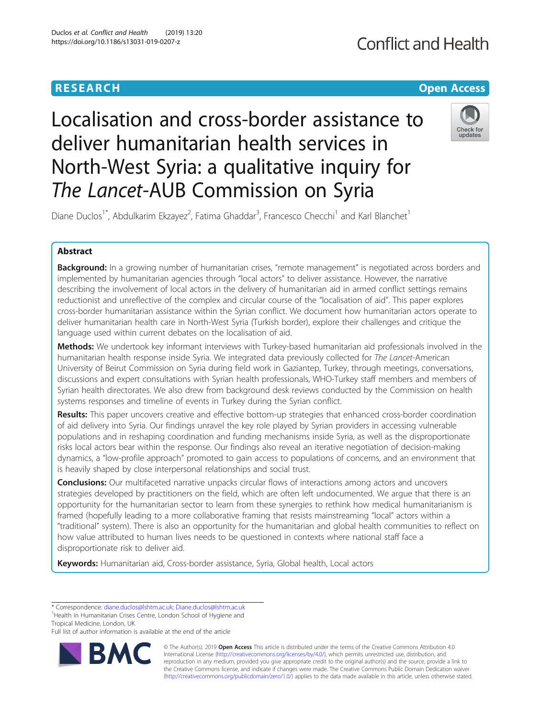### **RESEARCH CHE Open Access**

## **Conflict and Health**

# Localisation and cross-border assistance to deliver humanitarian health services in North-West Syria: a qualitative inquiry for The Lancet-AUB Commission on Syria



Diane Duclos<sup>1\*</sup>, Abdulkarim Ekzayez<sup>2</sup>, Fatima Ghaddar<sup>3</sup>, Francesco Checchi<sup>1</sup> and Karl Blanchet<sup>1</sup>

### Abstract

Background: In a growing number of humanitarian crises, "remote management" is negotiated across borders and implemented by humanitarian agencies through "local actors" to deliver assistance. However, the narrative describing the involvement of local actors in the delivery of humanitarian aid in armed conflict settings remains reductionist and unreflective of the complex and circular course of the "localisation of aid". This paper explores cross-border humanitarian assistance within the Syrian conflict. We document how humanitarian actors operate to deliver humanitarian health care in North-West Syria (Turkish border), explore their challenges and critique the language used within current debates on the localisation of aid.

Methods: We undertook key informant interviews with Turkey-based humanitarian aid professionals involved in the humanitarian health response inside Syria. We integrated data previously collected for The Lancet-American University of Beirut Commission on Syria during field work in Gaziantep, Turkey, through meetings, conversations, discussions and expert consultations with Syrian health professionals, WHO-Turkey staff members and members of Syrian health directorates. We also drew from background desk reviews conducted by the Commission on health systems responses and timeline of events in Turkey during the Syrian conflict.

Results: This paper uncovers creative and effective bottom-up strategies that enhanced cross-border coordination of aid delivery into Syria. Our findings unravel the key role played by Syrian providers in accessing vulnerable populations and in reshaping coordination and funding mechanisms inside Syria, as well as the disproportionate risks local actors bear within the response. Our findings also reveal an iterative negotiation of decision-making dynamics, a "low-profile approach" promoted to gain access to populations of concerns, and an environment that is heavily shaped by close interpersonal relationships and social trust.

**Conclusions:** Our multifaceted narrative unpacks circular flows of interactions among actors and uncovers strategies developed by practitioners on the field, which are often left undocumented. We argue that there is an opportunity for the humanitarian sector to learn from these synergies to rethink how medical humanitarianism is framed (hopefully leading to a more collaborative framing that resists mainstreaming "local" actors within a "traditional" system). There is also an opportunity for the humanitarian and global health communities to reflect on how value attributed to human lives needs to be questioned in contexts where national staff face a disproportionate risk to deliver aid.

Keywords: Humanitarian aid, Cross-border assistance, Syria, Global health, Local actors

Full list of author information is available at the end of the article



© The Author(s). 2019 **Open Access** This article is distributed under the terms of the Creative Commons Attribution 4.0 International License [\(http://creativecommons.org/licenses/by/4.0/](http://creativecommons.org/licenses/by/4.0/)), which permits unrestricted use, distribution, and reproduction in any medium, provided you give appropriate credit to the original author(s) and the source, provide a link to the Creative Commons license, and indicate if changes were made. The Creative Commons Public Domain Dedication waiver [\(http://creativecommons.org/publicdomain/zero/1.0/](http://creativecommons.org/publicdomain/zero/1.0/)) applies to the data made available in this article, unless otherwise stated.

<sup>\*</sup> Correspondence: [diane.duclos@lshtm.ac.uk](mailto:diane.duclos@lshtm.ac.uk); [Diane.duclos@lshtm.ac.uk](mailto:Diane.duclos@lshtm.ac.uk) <sup>1</sup>

<sup>&</sup>lt;sup>1</sup> Health in Humanitarian Crises Centre, London School of Hygiene and Tropical Medicine, London, UK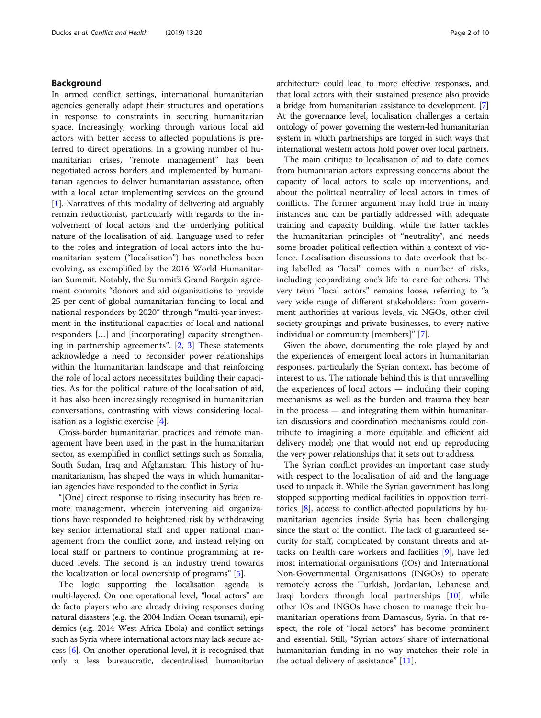#### Background

In armed conflict settings, international humanitarian agencies generally adapt their structures and operations in response to constraints in securing humanitarian space. Increasingly, working through various local aid actors with better access to affected populations is preferred to direct operations. In a growing number of humanitarian crises, "remote management" has been negotiated across borders and implemented by humanitarian agencies to deliver humanitarian assistance, often with a local actor implementing services on the ground [[1\]](#page-9-0). Narratives of this modality of delivering aid arguably remain reductionist, particularly with regards to the involvement of local actors and the underlying political nature of the localisation of aid. Language used to refer to the roles and integration of local actors into the humanitarian system ("localisation") has nonetheless been evolving, as exemplified by the 2016 World Humanitarian Summit. Notably, the Summit's Grand Bargain agreement commits "donors and aid organizations to provide 25 per cent of global humanitarian funding to local and national responders by 2020" through "multi-year investment in the institutional capacities of local and national responders […] and [incorporating] capacity strengthening in partnership agreements". [\[2](#page-9-0), [3](#page-9-0)] These statements acknowledge a need to reconsider power relationships within the humanitarian landscape and that reinforcing the role of local actors necessitates building their capacities. As for the political nature of the localisation of aid, it has also been increasingly recognised in humanitarian conversations, contrasting with views considering localisation as a logistic exercise [[4](#page-9-0)].

Cross-border humanitarian practices and remote management have been used in the past in the humanitarian sector, as exemplified in conflict settings such as Somalia, South Sudan, Iraq and Afghanistan. This history of humanitarianism, has shaped the ways in which humanitarian agencies have responded to the conflict in Syria:

"[One] direct response to rising insecurity has been remote management, wherein intervening aid organizations have responded to heightened risk by withdrawing key senior international staff and upper national management from the conflict zone, and instead relying on local staff or partners to continue programming at reduced levels. The second is an industry trend towards the localization or local ownership of programs" [\[5](#page-9-0)].

The logic supporting the localisation agenda is multi-layered. On one operational level, "local actors" are de facto players who are already driving responses during natural disasters (e.g. the 2004 Indian Ocean tsunami), epidemics (e.g. 2014 West Africa Ebola) and conflict settings such as Syria where international actors may lack secure access [[6](#page-9-0)]. On another operational level, it is recognised that only a less bureaucratic, decentralised humanitarian

architecture could lead to more effective responses, and that local actors with their sustained presence also provide a bridge from humanitarian assistance to development. [[7](#page-9-0)] At the governance level, localisation challenges a certain ontology of power governing the western-led humanitarian system in which partnerships are forged in such ways that international western actors hold power over local partners.

The main critique to localisation of aid to date comes from humanitarian actors expressing concerns about the capacity of local actors to scale up interventions, and about the political neutrality of local actors in times of conflicts. The former argument may hold true in many instances and can be partially addressed with adequate training and capacity building, while the latter tackles the humanitarian principles of "neutrality", and needs some broader political reflection within a context of violence. Localisation discussions to date overlook that being labelled as "local" comes with a number of risks, including jeopardizing one's life to care for others. The very term "local actors" remains loose, referring to "a very wide range of different stakeholders: from government authorities at various levels, via NGOs, other civil society groupings and private businesses, to every native individual or community [members]" [\[7](#page-9-0)].

Given the above, documenting the role played by and the experiences of emergent local actors in humanitarian responses, particularly the Syrian context, has become of interest to us. The rationale behind this is that unravelling the experiences of local actors — including their coping mechanisms as well as the burden and trauma they bear in the process — and integrating them within humanitarian discussions and coordination mechanisms could contribute to imagining a more equitable and efficient aid delivery model; one that would not end up reproducing the very power relationships that it sets out to address.

The Syrian conflict provides an important case study with respect to the localisation of aid and the language used to unpack it. While the Syrian government has long stopped supporting medical facilities in opposition territories [\[8](#page-9-0)], access to conflict-affected populations by humanitarian agencies inside Syria has been challenging since the start of the conflict. The lack of guaranteed security for staff, complicated by constant threats and attacks on health care workers and facilities [[9\]](#page-9-0), have led most international organisations (IOs) and International Non-Governmental Organisations (INGOs) to operate remotely across the Turkish, Jordanian, Lebanese and Iraqi borders through local partnerships [[10\]](#page-9-0), while other IOs and INGOs have chosen to manage their humanitarian operations from Damascus, Syria. In that respect, the role of "local actors" has become prominent and essential. Still, "Syrian actors' share of international humanitarian funding in no way matches their role in the actual delivery of assistance" [\[11\]](#page-9-0).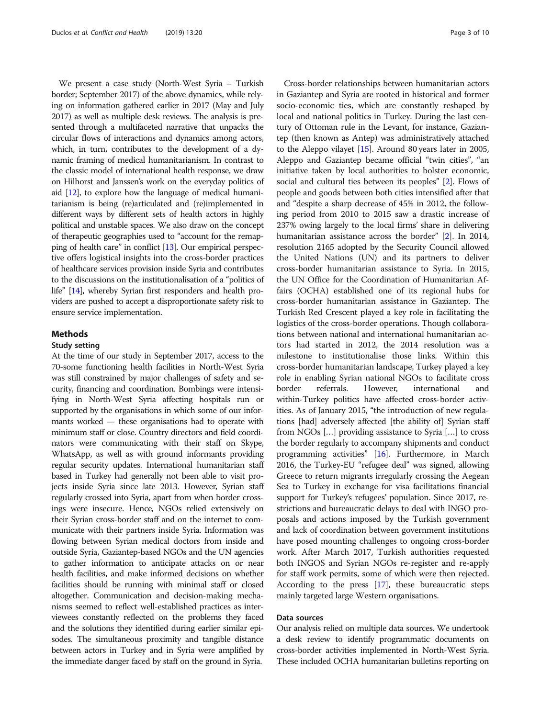We present a case study (North-West Syria – Turkish border; September 2017) of the above dynamics, while relying on information gathered earlier in 2017 (May and July 2017) as well as multiple desk reviews. The analysis is presented through a multifaceted narrative that unpacks the circular flows of interactions and dynamics among actors, which, in turn, contributes to the development of a dynamic framing of medical humanitarianism. In contrast to the classic model of international health response, we draw on Hilhorst and Janssen's work on the everyday politics of aid [\[12](#page-9-0)], to explore how the language of medical humanitarianism is being (re)articulated and (re)implemented in different ways by different sets of health actors in highly political and unstable spaces. We also draw on the concept of therapeutic geographies used to "account for the remapping of health care" in conflict [\[13](#page-9-0)]. Our empirical perspective offers logistical insights into the cross-border practices of healthcare services provision inside Syria and contributes to the discussions on the institutionalisation of a "politics of life" [[14\]](#page-9-0), whereby Syrian first responders and health providers are pushed to accept a disproportionate safety risk to ensure service implementation.

#### Methods

#### Study setting

At the time of our study in September 2017, access to the 70-some functioning health facilities in North-West Syria was still constrained by major challenges of safety and security, financing and coordination. Bombings were intensifying in North-West Syria affecting hospitals run or supported by the organisations in which some of our informants worked — these organisations had to operate with minimum staff or close. Country directors and field coordinators were communicating with their staff on Skype, WhatsApp, as well as with ground informants providing regular security updates. International humanitarian staff based in Turkey had generally not been able to visit projects inside Syria since late 2013. However, Syrian staff regularly crossed into Syria, apart from when border crossings were insecure. Hence, NGOs relied extensively on their Syrian cross-border staff and on the internet to communicate with their partners inside Syria. Information was flowing between Syrian medical doctors from inside and outside Syria, Gaziantep-based NGOs and the UN agencies to gather information to anticipate attacks on or near health facilities, and make informed decisions on whether facilities should be running with minimal staff or closed altogether. Communication and decision-making mechanisms seemed to reflect well-established practices as interviewees constantly reflected on the problems they faced and the solutions they identified during earlier similar episodes. The simultaneous proximity and tangible distance between actors in Turkey and in Syria were amplified by the immediate danger faced by staff on the ground in Syria.

Cross-border relationships between humanitarian actors in Gaziantep and Syria are rooted in historical and former socio-economic ties, which are constantly reshaped by local and national politics in Turkey. During the last century of Ottoman rule in the Levant, for instance, Gaziantep (then known as Antep) was administratively attached to the Aleppo vilayet [[15](#page-9-0)]. Around 80 years later in 2005, Aleppo and Gaziantep became official "twin cities", "an initiative taken by local authorities to bolster economic, social and cultural ties between its peoples" [[2](#page-9-0)]. Flows of people and goods between both cities intensified after that and "despite a sharp decrease of 45% in 2012, the following period from 2010 to 2015 saw a drastic increase of 237% owing largely to the local firms' share in delivering humanitarian assistance across the border" [\[2\]](#page-9-0). In 2014, resolution 2165 adopted by the Security Council allowed the United Nations (UN) and its partners to deliver cross-border humanitarian assistance to Syria. In 2015, the UN Office for the Coordination of Humanitarian Affairs (OCHA) established one of its regional hubs for cross-border humanitarian assistance in Gaziantep. The Turkish Red Crescent played a key role in facilitating the logistics of the cross-border operations. Though collaborations between national and international humanitarian actors had started in 2012, the 2014 resolution was a milestone to institutionalise those links. Within this cross-border humanitarian landscape, Turkey played a key role in enabling Syrian national NGOs to facilitate cross border referrals. However, international and within-Turkey politics have affected cross-border activities. As of January 2015, "the introduction of new regulations [had] adversely affected [the ability of] Syrian staff from NGOs […] providing assistance to Syria […] to cross the border regularly to accompany shipments and conduct programming activities" [\[16\]](#page-9-0). Furthermore, in March 2016, the Turkey-EU "refugee deal" was signed, allowing Greece to return migrants irregularly crossing the Aegean Sea to Turkey in exchange for visa facilitations financial support for Turkey's refugees' population. Since 2017, restrictions and bureaucratic delays to deal with INGO proposals and actions imposed by the Turkish government and lack of coordination between government institutions have posed mounting challenges to ongoing cross-border work. After March 2017, Turkish authorities requested both INGOS and Syrian NGOs re-register and re-apply for staff work permits, some of which were then rejected. According to the press [\[17\]](#page-9-0), these bureaucratic steps mainly targeted large Western organisations.

#### Data sources

Our analysis relied on multiple data sources. We undertook a desk review to identify programmatic documents on cross-border activities implemented in North-West Syria. These included OCHA humanitarian bulletins reporting on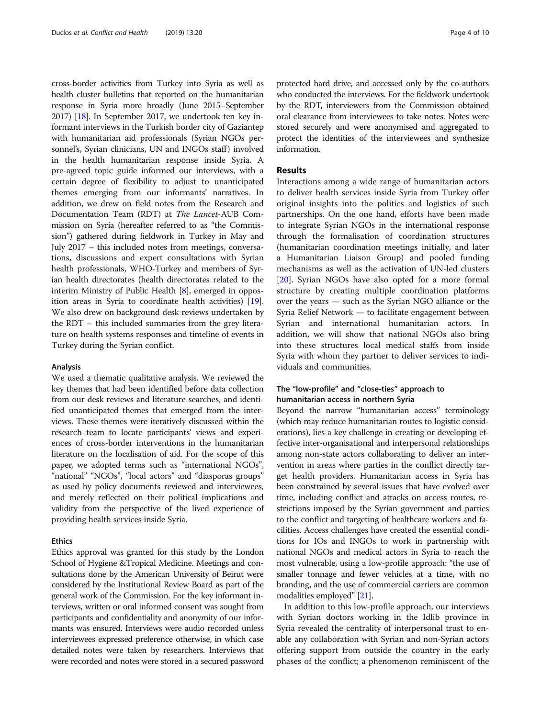cross-border activities from Turkey into Syria as well as health cluster bulletins that reported on the humanitarian response in Syria more broadly (June 2015–September 2017) [\[18\]](#page-9-0). In September 2017, we undertook ten key informant interviews in the Turkish border city of Gaziantep with humanitarian aid professionals (Syrian NGOs personnel's, Syrian clinicians, UN and INGOs staff) involved in the health humanitarian response inside Syria. A pre-agreed topic guide informed our interviews, with a certain degree of flexibility to adjust to unanticipated themes emerging from our informants' narratives. In addition, we drew on field notes from the Research and Documentation Team (RDT) at The Lancet-AUB Commission on Syria (hereafter referred to as "the Commission") gathered during fieldwork in Turkey in May and July 2017 – this included notes from meetings, conversations, discussions and expert consultations with Syrian health professionals, WHO-Turkey and members of Syrian health directorates (health directorates related to the interim Ministry of Public Health [\[8](#page-9-0)], emerged in opposition areas in Syria to coordinate health activities) [[19](#page-9-0)]. We also drew on background desk reviews undertaken by the RDT – this included summaries from the grey literature on health systems responses and timeline of events in Turkey during the Syrian conflict.

#### Analysis

We used a thematic qualitative analysis. We reviewed the key themes that had been identified before data collection from our desk reviews and literature searches, and identified unanticipated themes that emerged from the interviews. These themes were iteratively discussed within the research team to locate participants' views and experiences of cross-border interventions in the humanitarian literature on the localisation of aid. For the scope of this paper, we adopted terms such as "international NGOs", "national" "NGOs", "local actors" and "diasporas groups" as used by policy documents reviewed and interviewees, and merely reflected on their political implications and validity from the perspective of the lived experience of providing health services inside Syria.

#### Ethics

Ethics approval was granted for this study by the London School of Hygiene &Tropical Medicine. Meetings and consultations done by the American University of Beirut were considered by the Institutional Review Board as part of the general work of the Commission. For the key informant interviews, written or oral informed consent was sought from participants and confidentiality and anonymity of our informants was ensured. Interviews were audio recorded unless interviewees expressed preference otherwise, in which case detailed notes were taken by researchers. Interviews that were recorded and notes were stored in a secured password protected hard drive, and accessed only by the co-authors who conducted the interviews. For the fieldwork undertook by the RDT, interviewers from the Commission obtained oral clearance from interviewees to take notes. Notes were stored securely and were anonymised and aggregated to protect the identities of the interviewees and synthesize information.

#### Results

Interactions among a wide range of humanitarian actors to deliver health services inside Syria from Turkey offer original insights into the politics and logistics of such partnerships. On the one hand, efforts have been made to integrate Syrian NGOs in the international response through the formalisation of coordination structures (humanitarian coordination meetings initially, and later a Humanitarian Liaison Group) and pooled funding mechanisms as well as the activation of UN-led clusters [[20\]](#page-9-0). Syrian NGOs have also opted for a more formal structure by creating multiple coordination platforms over the years — such as the Syrian NGO alliance or the Syria Relief Network — to facilitate engagement between Syrian and international humanitarian actors. In addition, we will show that national NGOs also bring into these structures local medical staffs from inside Syria with whom they partner to deliver services to individuals and communities.

#### The "low-profile" and "close-ties" approach to humanitarian access in northern Syria

Beyond the narrow "humanitarian access" terminology (which may reduce humanitarian routes to logistic considerations), lies a key challenge in creating or developing effective inter-organisational and interpersonal relationships among non-state actors collaborating to deliver an intervention in areas where parties in the conflict directly target health providers. Humanitarian access in Syria has been constrained by several issues that have evolved over time, including conflict and attacks on access routes, restrictions imposed by the Syrian government and parties to the conflict and targeting of healthcare workers and facilities. Access challenges have created the essential conditions for IOs and INGOs to work in partnership with national NGOs and medical actors in Syria to reach the most vulnerable, using a low-profile approach: "the use of smaller tonnage and fewer vehicles at a time, with no branding, and the use of commercial carriers are common modalities employed" [\[21\]](#page-9-0).

In addition to this low-profile approach, our interviews with Syrian doctors working in the Idlib province in Syria revealed the centrality of interpersonal trust to enable any collaboration with Syrian and non-Syrian actors offering support from outside the country in the early phases of the conflict; a phenomenon reminiscent of the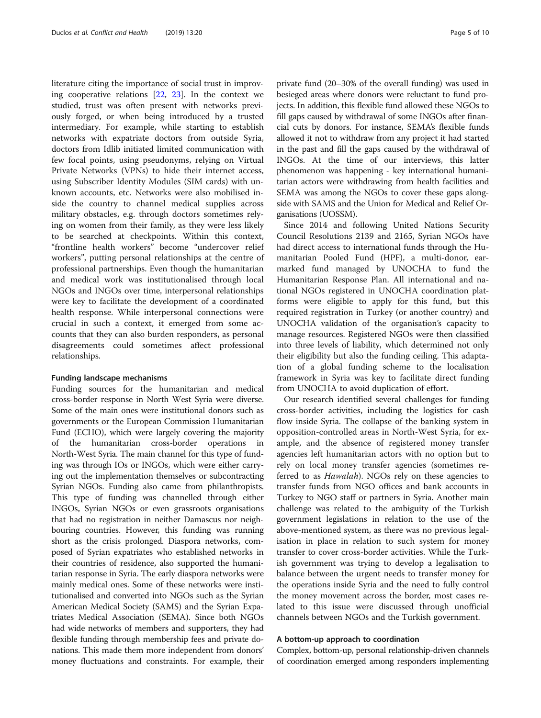literature citing the importance of social trust in improving cooperative relations [[22](#page-9-0), [23](#page-9-0)]. In the context we studied, trust was often present with networks previously forged, or when being introduced by a trusted intermediary. For example, while starting to establish networks with expatriate doctors from outside Syria, doctors from Idlib initiated limited communication with few focal points, using pseudonyms, relying on Virtual Private Networks (VPNs) to hide their internet access, using Subscriber Identity Modules (SIM cards) with unknown accounts, etc. Networks were also mobilised inside the country to channel medical supplies across military obstacles, e.g. through doctors sometimes relying on women from their family, as they were less likely to be searched at checkpoints. Within this context, "frontline health workers" become "undercover relief workers", putting personal relationships at the centre of professional partnerships. Even though the humanitarian and medical work was institutionalised through local NGOs and INGOs over time, interpersonal relationships were key to facilitate the development of a coordinated health response. While interpersonal connections were crucial in such a context, it emerged from some accounts that they can also burden responders, as personal disagreements could sometimes affect professional relationships.

#### Funding landscape mechanisms

Funding sources for the humanitarian and medical cross-border response in North West Syria were diverse. Some of the main ones were institutional donors such as governments or the European Commission Humanitarian Fund (ECHO), which were largely covering the majority of the humanitarian cross-border operations in North-West Syria. The main channel for this type of funding was through IOs or INGOs, which were either carrying out the implementation themselves or subcontracting Syrian NGOs. Funding also came from philanthropists. This type of funding was channelled through either INGOs, Syrian NGOs or even grassroots organisations that had no registration in neither Damascus nor neighbouring countries. However, this funding was running short as the crisis prolonged. Diaspora networks, composed of Syrian expatriates who established networks in their countries of residence, also supported the humanitarian response in Syria. The early diaspora networks were mainly medical ones. Some of these networks were institutionalised and converted into NGOs such as the Syrian American Medical Society (SAMS) and the Syrian Expatriates Medical Association (SEMA). Since both NGOs had wide networks of members and supporters, they had flexible funding through membership fees and private donations. This made them more independent from donors' money fluctuations and constraints. For example, their

private fund (20–30% of the overall funding) was used in besieged areas where donors were reluctant to fund projects. In addition, this flexible fund allowed these NGOs to fill gaps caused by withdrawal of some INGOs after financial cuts by donors. For instance, SEMA's flexible funds allowed it not to withdraw from any project it had started in the past and fill the gaps caused by the withdrawal of INGOs. At the time of our interviews, this latter phenomenon was happening - key international humanitarian actors were withdrawing from health facilities and SEMA was among the NGOs to cover these gaps alongside with SAMS and the Union for Medical and Relief Organisations (UOSSM).

Since 2014 and following United Nations Security Council Resolutions 2139 and 2165, Syrian NGOs have had direct access to international funds through the Humanitarian Pooled Fund (HPF), a multi-donor, earmarked fund managed by UNOCHA to fund the Humanitarian Response Plan. All international and national NGOs registered in UNOCHA coordination platforms were eligible to apply for this fund, but this required registration in Turkey (or another country) and UNOCHA validation of the organisation's capacity to manage resources. Registered NGOs were then classified into three levels of liability, which determined not only their eligibility but also the funding ceiling. This adaptation of a global funding scheme to the localisation framework in Syria was key to facilitate direct funding from UNOCHA to avoid duplication of effort.

Our research identified several challenges for funding cross-border activities, including the logistics for cash flow inside Syria. The collapse of the banking system in opposition-controlled areas in North-West Syria, for example, and the absence of registered money transfer agencies left humanitarian actors with no option but to rely on local money transfer agencies (sometimes referred to as *Hawalah*). NGOs rely on these agencies to transfer funds from NGO offices and bank accounts in Turkey to NGO staff or partners in Syria. Another main challenge was related to the ambiguity of the Turkish government legislations in relation to the use of the above-mentioned system, as there was no previous legalisation in place in relation to such system for money transfer to cover cross-border activities. While the Turkish government was trying to develop a legalisation to balance between the urgent needs to transfer money for the operations inside Syria and the need to fully control the money movement across the border, most cases related to this issue were discussed through unofficial channels between NGOs and the Turkish government.

#### A bottom-up approach to coordination

Complex, bottom-up, personal relationship-driven channels of coordination emerged among responders implementing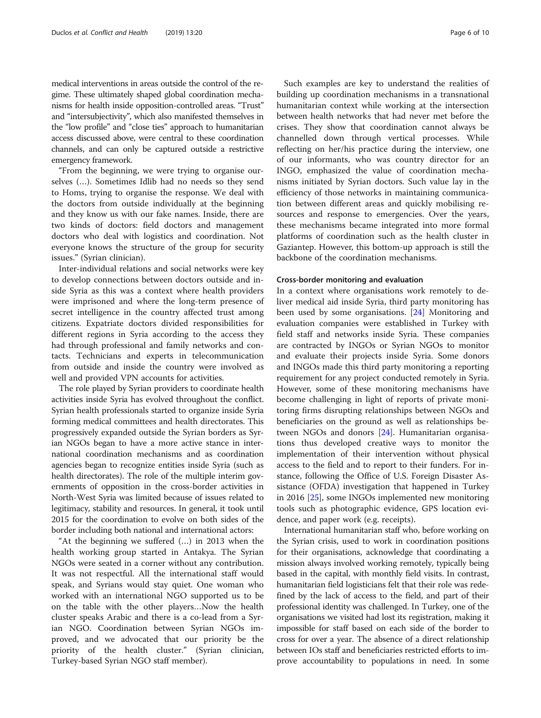medical interventions in areas outside the control of the regime. These ultimately shaped global coordination mechanisms for health inside opposition-controlled areas. "Trust" and "intersubjectivity", which also manifested themselves in the "low profile" and "close ties" approach to humanitarian access discussed above, were central to these coordination channels, and can only be captured outside a restrictive emergency framework.

"From the beginning, we were trying to organise ourselves (…). Sometimes Idlib had no needs so they send to Homs, trying to organise the response. We deal with the doctors from outside individually at the beginning and they know us with our fake names. Inside, there are two kinds of doctors: field doctors and management doctors who deal with logistics and coordination. Not everyone knows the structure of the group for security issues." (Syrian clinician).

Inter-individual relations and social networks were key to develop connections between doctors outside and inside Syria as this was a context where health providers were imprisoned and where the long-term presence of secret intelligence in the country affected trust among citizens. Expatriate doctors divided responsibilities for different regions in Syria according to the access they had through professional and family networks and contacts. Technicians and experts in telecommunication from outside and inside the country were involved as well and provided VPN accounts for activities.

The role played by Syrian providers to coordinate health activities inside Syria has evolved throughout the conflict. Syrian health professionals started to organize inside Syria forming medical committees and health directorates. This progressively expanded outside the Syrian borders as Syrian NGOs began to have a more active stance in international coordination mechanisms and as coordination agencies began to recognize entities inside Syria (such as health directorates). The role of the multiple interim governments of opposition in the cross-border activities in North-West Syria was limited because of issues related to legitimacy, stability and resources. In general, it took until 2015 for the coordination to evolve on both sides of the border including both national and international actors:

"At the beginning we suffered (…) in 2013 when the health working group started in Antakya. The Syrian NGOs were seated in a corner without any contribution. It was not respectful. All the international staff would speak, and Syrians would stay quiet. One woman who worked with an international NGO supported us to be on the table with the other players…Now the health cluster speaks Arabic and there is a co-lead from a Syrian NGO. Coordination between Syrian NGOs improved, and we advocated that our priority be the priority of the health cluster." (Syrian clinician, Turkey-based Syrian NGO staff member).

Such examples are key to understand the realities of building up coordination mechanisms in a transnational humanitarian context while working at the intersection between health networks that had never met before the crises. They show that coordination cannot always be channelled down through vertical processes. While reflecting on her/his practice during the interview, one of our informants, who was country director for an INGO, emphasized the value of coordination mechanisms initiated by Syrian doctors. Such value lay in the efficiency of those networks in maintaining communication between different areas and quickly mobilising resources and response to emergencies. Over the years, these mechanisms became integrated into more formal platforms of coordination such as the health cluster in Gaziantep. However, this bottom-up approach is still the backbone of the coordination mechanisms.

#### Cross-border monitoring and evaluation

In a context where organisations work remotely to deliver medical aid inside Syria, third party monitoring has been used by some organisations. [[24\]](#page-9-0) Monitoring and evaluation companies were established in Turkey with field staff and networks inside Syria. These companies are contracted by INGOs or Syrian NGOs to monitor and evaluate their projects inside Syria. Some donors and INGOs made this third party monitoring a reporting requirement for any project conducted remotely in Syria. However, some of these monitoring mechanisms have become challenging in light of reports of private monitoring firms disrupting relationships between NGOs and beneficiaries on the ground as well as relationships between NGOs and donors [[24\]](#page-9-0). Humanitarian organisations thus developed creative ways to monitor the implementation of their intervention without physical access to the field and to report to their funders. For instance, following the Office of U.S. Foreign Disaster Assistance (OFDA) investigation that happened in Turkey in 2016 [\[25](#page-9-0)], some INGOs implemented new monitoring tools such as photographic evidence, GPS location evidence, and paper work (e.g. receipts).

International humanitarian staff who, before working on the Syrian crisis, used to work in coordination positions for their organisations, acknowledge that coordinating a mission always involved working remotely, typically being based in the capital, with monthly field visits. In contrast, humanitarian field logisticians felt that their role was redefined by the lack of access to the field, and part of their professional identity was challenged. In Turkey, one of the organisations we visited had lost its registration, making it impossible for staff based on each side of the border to cross for over a year. The absence of a direct relationship between IOs staff and beneficiaries restricted efforts to improve accountability to populations in need. In some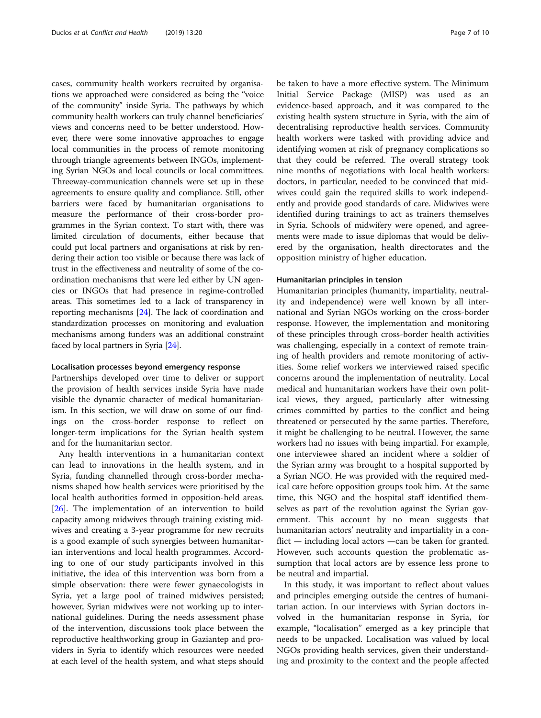cases, community health workers recruited by organisations we approached were considered as being the "voice of the community" inside Syria. The pathways by which community health workers can truly channel beneficiaries' views and concerns need to be better understood. However, there were some innovative approaches to engage local communities in the process of remote monitoring through triangle agreements between INGOs, implementing Syrian NGOs and local councils or local committees. Threeway-communication channels were set up in these agreements to ensure quality and compliance. Still, other barriers were faced by humanitarian organisations to measure the performance of their cross-border programmes in the Syrian context. To start with, there was limited circulation of documents, either because that could put local partners and organisations at risk by rendering their action too visible or because there was lack of trust in the effectiveness and neutrality of some of the coordination mechanisms that were led either by UN agencies or INGOs that had presence in regime-controlled areas. This sometimes led to a lack of transparency in reporting mechanisms [\[24\]](#page-9-0). The lack of coordination and standardization processes on monitoring and evaluation mechanisms among funders was an additional constraint faced by local partners in Syria [[24](#page-9-0)].

#### Localisation processes beyond emergency response

Partnerships developed over time to deliver or support the provision of health services inside Syria have made visible the dynamic character of medical humanitarianism. In this section, we will draw on some of our findings on the cross-border response to reflect on longer-term implications for the Syrian health system and for the humanitarian sector.

Any health interventions in a humanitarian context can lead to innovations in the health system, and in Syria, funding channelled through cross-border mechanisms shaped how health services were prioritised by the local health authorities formed in opposition-held areas. [[26\]](#page-9-0). The implementation of an intervention to build capacity among midwives through training existing midwives and creating a 3-year programme for new recruits is a good example of such synergies between humanitarian interventions and local health programmes. According to one of our study participants involved in this initiative, the idea of this intervention was born from a simple observation: there were fewer gynaecologists in Syria, yet a large pool of trained midwives persisted; however, Syrian midwives were not working up to international guidelines. During the needs assessment phase of the intervention, discussions took place between the reproductive healthworking group in Gaziantep and providers in Syria to identify which resources were needed at each level of the health system, and what steps should

be taken to have a more effective system. The Minimum Initial Service Package (MISP) was used as an evidence-based approach, and it was compared to the existing health system structure in Syria, with the aim of decentralising reproductive health services. Community health workers were tasked with providing advice and identifying women at risk of pregnancy complications so that they could be referred. The overall strategy took nine months of negotiations with local health workers: doctors, in particular, needed to be convinced that midwives could gain the required skills to work independently and provide good standards of care. Midwives were identified during trainings to act as trainers themselves in Syria. Schools of midwifery were opened, and agreements were made to issue diplomas that would be delivered by the organisation, health directorates and the opposition ministry of higher education.

#### Humanitarian principles in tension

Humanitarian principles (humanity, impartiality, neutrality and independence) were well known by all international and Syrian NGOs working on the cross-border response. However, the implementation and monitoring of these principles through cross-border health activities was challenging, especially in a context of remote training of health providers and remote monitoring of activities. Some relief workers we interviewed raised specific concerns around the implementation of neutrality. Local medical and humanitarian workers have their own political views, they argued, particularly after witnessing crimes committed by parties to the conflict and being threatened or persecuted by the same parties. Therefore, it might be challenging to be neutral. However, the same workers had no issues with being impartial. For example, one interviewee shared an incident where a soldier of the Syrian army was brought to a hospital supported by a Syrian NGO. He was provided with the required medical care before opposition groups took him. At the same time, this NGO and the hospital staff identified themselves as part of the revolution against the Syrian government. This account by no mean suggests that humanitarian actors' neutrality and impartiality in a conflict — including local actors —can be taken for granted. However, such accounts question the problematic assumption that local actors are by essence less prone to be neutral and impartial.

In this study, it was important to reflect about values and principles emerging outside the centres of humanitarian action. In our interviews with Syrian doctors involved in the humanitarian response in Syria, for example, "localisation" emerged as a key principle that needs to be unpacked. Localisation was valued by local NGOs providing health services, given their understanding and proximity to the context and the people affected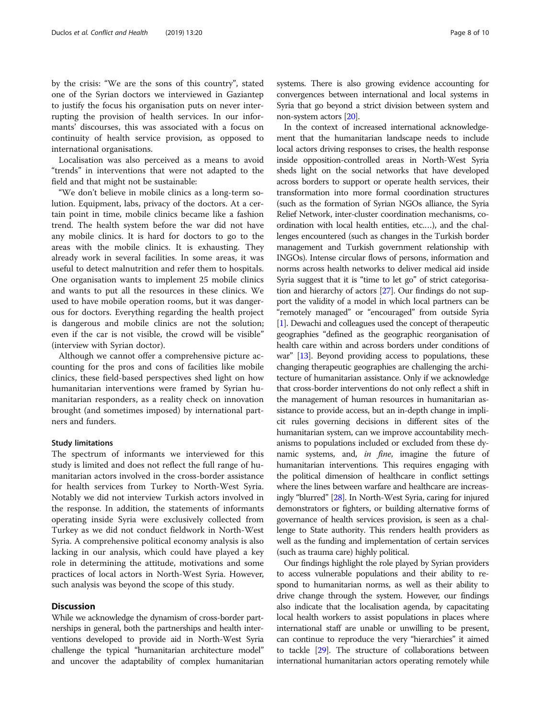by the crisis: "We are the sons of this country", stated one of the Syrian doctors we interviewed in Gaziantep to justify the focus his organisation puts on never interrupting the provision of health services. In our informants' discourses, this was associated with a focus on continuity of health service provision, as opposed to international organisations.

Localisation was also perceived as a means to avoid "trends" in interventions that were not adapted to the field and that might not be sustainable:

"We don't believe in mobile clinics as a long-term solution. Equipment, labs, privacy of the doctors. At a certain point in time, mobile clinics became like a fashion trend. The health system before the war did not have any mobile clinics. It is hard for doctors to go to the areas with the mobile clinics. It is exhausting. They already work in several facilities. In some areas, it was useful to detect malnutrition and refer them to hospitals. One organisation wants to implement 25 mobile clinics and wants to put all the resources in these clinics. We used to have mobile operation rooms, but it was dangerous for doctors. Everything regarding the health project is dangerous and mobile clinics are not the solution; even if the car is not visible, the crowd will be visible" (interview with Syrian doctor).

Although we cannot offer a comprehensive picture accounting for the pros and cons of facilities like mobile clinics, these field-based perspectives shed light on how humanitarian interventions were framed by Syrian humanitarian responders, as a reality check on innovation brought (and sometimes imposed) by international partners and funders.

#### Study limitations

The spectrum of informants we interviewed for this study is limited and does not reflect the full range of humanitarian actors involved in the cross-border assistance for health services from Turkey to North-West Syria. Notably we did not interview Turkish actors involved in the response. In addition, the statements of informants operating inside Syria were exclusively collected from Turkey as we did not conduct fieldwork in North-West Syria. A comprehensive political economy analysis is also lacking in our analysis, which could have played a key role in determining the attitude, motivations and some practices of local actors in North-West Syria. However, such analysis was beyond the scope of this study.

#### **Discussion**

While we acknowledge the dynamism of cross-border partnerships in general, both the partnerships and health interventions developed to provide aid in North-West Syria challenge the typical "humanitarian architecture model" and uncover the adaptability of complex humanitarian systems. There is also growing evidence accounting for convergences between international and local systems in Syria that go beyond a strict division between system and non-system actors [[20](#page-9-0)].

In the context of increased international acknowledgement that the humanitarian landscape needs to include local actors driving responses to crises, the health response inside opposition-controlled areas in North-West Syria sheds light on the social networks that have developed across borders to support or operate health services, their transformation into more formal coordination structures (such as the formation of Syrian NGOs alliance, the Syria Relief Network, inter-cluster coordination mechanisms, coordination with local health entities, etc.…), and the challenges encountered (such as changes in the Turkish border management and Turkish government relationship with INGOs). Intense circular flows of persons, information and norms across health networks to deliver medical aid inside Syria suggest that it is "time to let go" of strict categorisation and hierarchy of actors [\[27](#page-9-0)]. Our findings do not support the validity of a model in which local partners can be "remotely managed" or "encouraged" from outside Syria [[1](#page-9-0)]. Dewachi and colleagues used the concept of therapeutic geographies "defined as the geographic reorganisation of health care within and across borders under conditions of war" [\[13](#page-9-0)]. Beyond providing access to populations, these changing therapeutic geographies are challenging the architecture of humanitarian assistance. Only if we acknowledge that cross-border interventions do not only reflect a shift in the management of human resources in humanitarian assistance to provide access, but an in-depth change in implicit rules governing decisions in different sites of the humanitarian system, can we improve accountability mechanisms to populations included or excluded from these dynamic systems, and, in fine, imagine the future of humanitarian interventions. This requires engaging with the political dimension of healthcare in conflict settings where the lines between warfare and healthcare are increasingly "blurred" [\[28\]](#page-9-0). In North-West Syria, caring for injured demonstrators or fighters, or building alternative forms of governance of health services provision, is seen as a challenge to State authority. This renders health providers as well as the funding and implementation of certain services (such as trauma care) highly political.

Our findings highlight the role played by Syrian providers to access vulnerable populations and their ability to respond to humanitarian norms, as well as their ability to drive change through the system. However, our findings also indicate that the localisation agenda, by capacitating local health workers to assist populations in places where international staff are unable or unwilling to be present, can continue to reproduce the very "hierarchies" it aimed to tackle [[29](#page-9-0)]. The structure of collaborations between international humanitarian actors operating remotely while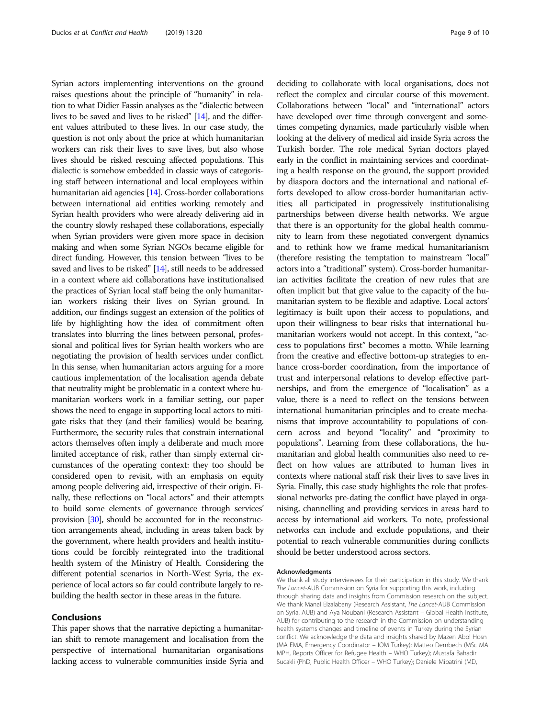Syrian actors implementing interventions on the ground raises questions about the principle of "humanity" in relation to what Didier Fassin analyses as the "dialectic between lives to be saved and lives to be risked" [[14](#page-9-0)], and the different values attributed to these lives. In our case study, the question is not only about the price at which humanitarian workers can risk their lives to save lives, but also whose lives should be risked rescuing affected populations. This dialectic is somehow embedded in classic ways of categorising staff between international and local employees within humanitarian aid agencies [\[14\]](#page-9-0). Cross-border collaborations between international aid entities working remotely and Syrian health providers who were already delivering aid in the country slowly reshaped these collaborations, especially when Syrian providers were given more space in decision making and when some Syrian NGOs became eligible for direct funding. However, this tension between "lives to be saved and lives to be risked" [[14](#page-9-0)], still needs to be addressed in a context where aid collaborations have institutionalised the practices of Syrian local staff being the only humanitarian workers risking their lives on Syrian ground. In addition, our findings suggest an extension of the politics of life by highlighting how the idea of commitment often translates into blurring the lines between personal, professional and political lives for Syrian health workers who are negotiating the provision of health services under conflict. In this sense, when humanitarian actors arguing for a more cautious implementation of the localisation agenda debate that neutrality might be problematic in a context where humanitarian workers work in a familiar setting, our paper shows the need to engage in supporting local actors to mitigate risks that they (and their families) would be bearing. Furthermore, the security rules that constrain international actors themselves often imply a deliberate and much more limited acceptance of risk, rather than simply external circumstances of the operating context: they too should be considered open to revisit, with an emphasis on equity among people delivering aid, irrespective of their origin. Finally, these reflections on "local actors" and their attempts to build some elements of governance through services' provision [\[30\]](#page-9-0), should be accounted for in the reconstruction arrangements ahead, including in areas taken back by the government, where health providers and health institutions could be forcibly reintegrated into the traditional health system of the Ministry of Health. Considering the different potential scenarios in North-West Syria, the experience of local actors so far could contribute largely to rebuilding the health sector in these areas in the future.

#### Conclusions

This paper shows that the narrative depicting a humanitarian shift to remote management and localisation from the perspective of international humanitarian organisations lacking access to vulnerable communities inside Syria and deciding to collaborate with local organisations, does not reflect the complex and circular course of this movement. Collaborations between "local" and "international" actors have developed over time through convergent and sometimes competing dynamics, made particularly visible when looking at the delivery of medical aid inside Syria across the Turkish border. The role medical Syrian doctors played early in the conflict in maintaining services and coordinating a health response on the ground, the support provided by diaspora doctors and the international and national efforts developed to allow cross-border humanitarian activities; all participated in progressively institutionalising partnerships between diverse health networks. We argue that there is an opportunity for the global health community to learn from these negotiated convergent dynamics and to rethink how we frame medical humanitarianism (therefore resisting the temptation to mainstream "local" actors into a "traditional" system). Cross-border humanitarian activities facilitate the creation of new rules that are often implicit but that give value to the capacity of the humanitarian system to be flexible and adaptive. Local actors' legitimacy is built upon their access to populations, and upon their willingness to bear risks that international humanitarian workers would not accept. In this context, "access to populations first" becomes a motto. While learning from the creative and effective bottom-up strategies to enhance cross-border coordination, from the importance of trust and interpersonal relations to develop effective partnerships, and from the emergence of "localisation" as a value, there is a need to reflect on the tensions between international humanitarian principles and to create mechanisms that improve accountability to populations of concern across and beyond "locality" and "proximity to populations". Learning from these collaborations, the humanitarian and global health communities also need to reflect on how values are attributed to human lives in contexts where national staff risk their lives to save lives in Syria. Finally, this case study highlights the role that professional networks pre-dating the conflict have played in organising, channelling and providing services in areas hard to access by international aid workers. To note, professional networks can include and exclude populations, and their potential to reach vulnerable communities during conflicts should be better understood across sectors.

#### Acknowledgments

We thank all study interviewees for their participation in this study. We thank The Lancet-AUB Commission on Syria for supporting this work, including through sharing data and insights from Commission research on the subject. We thank Manal Elzalabany (Research Assistant, The Lancet-AUB Commission on Syria, AUB) and Aya Noubani (Research Assistant – Global Health Institute, AUB) for contributing to the research in the Commission on understanding health systems changes and timeline of events in Turkey during the Syrian conflict. We acknowledge the data and insights shared by Mazen Abol Hosn (MA EMA, Emergency Coordinator – IOM Turkey); Matteo Dembech (MSc MA MPH, Reports Officer for Refugee Health – WHO Turkey); Mustafa Bahadir Sucakli (PhD, Public Health Officer – WHO Turkey); Daniele Mipatrini (MD,